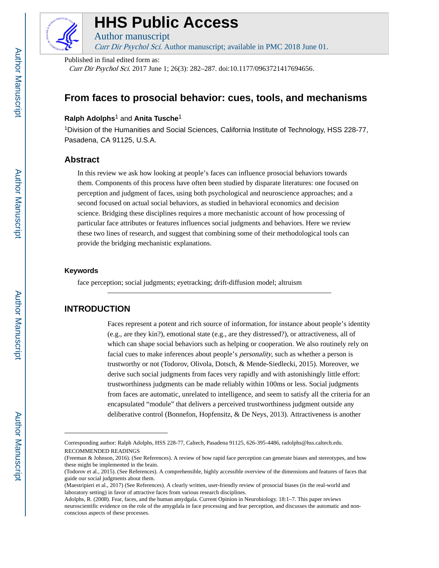

# **HHS Public Access**

Curr Dir Psychol Sci. Author manuscript; available in PMC 2018 June 01.

Published in final edited form as:

Author manuscript

Curr Dir Psychol Sci. 2017 June 1; 26(3): 282–287. doi:10.1177/0963721417694656.

## **From faces to prosocial behavior: cues, tools, and mechanisms**

### **Ralph Adolphs**1 and **Anita Tusche**<sup>1</sup>

<sup>1</sup>Division of the Humanities and Social Sciences, California Institute of Technology, HSS 228-77, Pasadena, CA 91125, U.S.A.

#### **Abstract**

In this review we ask how looking at people's faces can influence prosocial behaviors towards them. Components of this process have often been studied by disparate literatures: one focused on perception and judgment of faces, using both psychological and neuroscience approaches; and a second focused on actual social behaviors, as studied in behavioral economics and decision science. Bridging these disciplines requires a more mechanistic account of how processing of particular face attributes or features influences social judgments and behaviors. Here we review these two lines of research, and suggest that combining some of their methodological tools can provide the bridging mechanistic explanations.

#### **Keywords**

face perception; social judgments; eyetracking; drift-diffusion model; altruism

### **INTRODUCTION**

Faces represent a potent and rich source of information, for instance about people's identity (e.g., are they kin?), emotional state (e.g., are they distressed?), or attractiveness, all of which can shape social behaviors such as helping or cooperation. We also routinely rely on facial cues to make inferences about people's personality, such as whether a person is trustworthy or not (Todorov, Olivola, Dotsch, & Mende-Siedlecki, 2015). Moreover, we derive such social judgments from faces very rapidly and with astonishingly little effort: trustworthiness judgments can be made reliably within 100ms or less. Social judgments from faces are automatic, unrelated to intelligence, and seem to satisfy all the criteria for an encapsulated "module" that delivers a perceived trustworthiness judgment outside any deliberative control (Bonnefon, Hopfensitz, & De Neys, 2013). Attractiveness is another

Corresponding author: Ralph Adolphs, HSS 228-77, Caltech, Pasadena 91125, 626-395-4486, radolphs@hss.caltech.edu. RECOMMENDED READINGS

<sup>(</sup>Freeman & Johnson, 2016). (See References). A review of how rapid face perception can generate biases and stereotypes, and how these might be implemented in the brain.

<sup>(</sup>Todorov et al., 2015). (See References). A comprehensible, highly accessible overview of the dimensions and features of faces that guide our social judgments about them.

<sup>(</sup>Maestripieri et al., 2017) (See References). A clearly written, user-friendly review of prosocial biases (in the real-world and laboratory setting) in favor of attractive faces from various research disciplines.

Adolphs, R. (2008). Fear, faces, and the human amydgala. Current Opinion in Neurobiology. 18:1–7. This paper reviews neuroscientific evidence on the role of the amygdala in face processing and fear perception, and discusses the automatic and nonconscious aspects of these processes.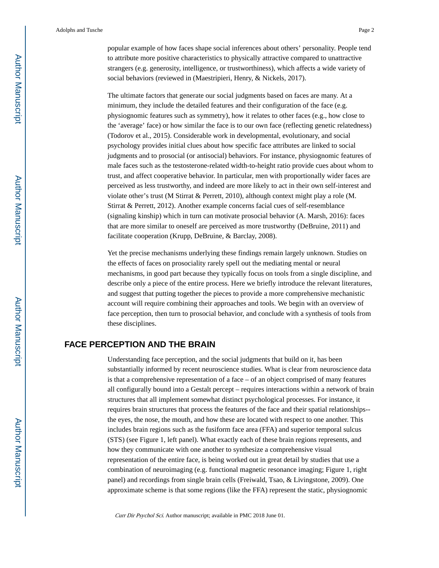popular example of how faces shape social inferences about others' personality. People tend to attribute more positive characteristics to physically attractive compared to unattractive strangers (e.g. generosity, intelligence, or trustworthiness), which affects a wide variety of social behaviors (reviewed in (Maestripieri, Henry, & Nickels, 2017).

The ultimate factors that generate our social judgments based on faces are many. At a minimum, they include the detailed features and their configuration of the face (e.g. physiognomic features such as symmetry), how it relates to other faces (e.g., how close to the 'average' face) or how similar the face is to our own face (reflecting genetic relatedness) (Todorov et al., 2015). Considerable work in developmental, evolutionary, and social psychology provides initial clues about how specific face attributes are linked to social judgments and to prosocial (or antisocial) behaviors. For instance, physiognomic features of male faces such as the testosterone-related width-to-height ratio provide cues about whom to trust, and affect cooperative behavior. In particular, men with proportionally wider faces are perceived as less trustworthy, and indeed are more likely to act in their own self-interest and violate other's trust (M Stirrat & Perrett, 2010), although context might play a role (M. Stirrat & Perrett, 2012). Another example concerns facial cues of self-resemblance (signaling kinship) which in turn can motivate prosocial behavior (A. Marsh, 2016): faces that are more similar to oneself are perceived as more trustworthy (DeBruine, 2011) and facilitate cooperation (Krupp, DeBruine, & Barclay, 2008).

Yet the precise mechanisms underlying these findings remain largely unknown. Studies on the effects of faces on prosociality rarely spell out the mediating mental or neural mechanisms, in good part because they typically focus on tools from a single discipline, and describe only a piece of the entire process. Here we briefly introduce the relevant literatures, and suggest that putting together the pieces to provide a more comprehensive mechanistic account will require combining their approaches and tools. We begin with an overview of face perception, then turn to prosocial behavior, and conclude with a synthesis of tools from these disciplines.

### **FACE PERCEPTION AND THE BRAIN**

Understanding face perception, and the social judgments that build on it, has been substantially informed by recent neuroscience studies. What is clear from neuroscience data is that a comprehensive representation of a face – of an object comprised of many features all configurally bound into a Gestalt percept – requires interactions within a network of brain structures that all implement somewhat distinct psychological processes. For instance, it requires brain structures that process the features of the face and their spatial relationships- the eyes, the nose, the mouth, and how these are located with respect to one another. This includes brain regions such as the fusiform face area (FFA) and superior temporal sulcus (STS) (see Figure 1, left panel). What exactly each of these brain regions represents, and how they communicate with one another to synthesize a comprehensive visual representation of the entire face, is being worked out in great detail by studies that use a combination of neuroimaging (e.g. functional magnetic resonance imaging; Figure 1, right panel) and recordings from single brain cells (Freiwald, Tsao, & Livingstone, 2009). One approximate scheme is that some regions (like the FFA) represent the static, physiognomic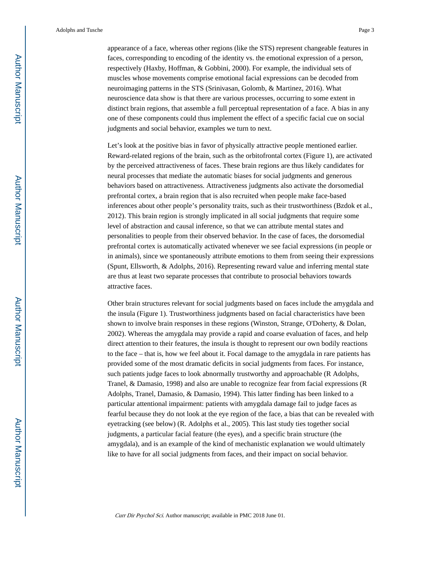appearance of a face, whereas other regions (like the STS) represent changeable features in faces, corresponding to encoding of the identity vs. the emotional expression of a person, respectively (Haxby, Hoffman, & Gobbini, 2000). For example, the individual sets of muscles whose movements comprise emotional facial expressions can be decoded from neuroimaging patterns in the STS (Srinivasan, Golomb, & Martinez, 2016). What neuroscience data show is that there are various processes, occurring to some extent in distinct brain regions, that assemble a full perceptual representation of a face. A bias in any one of these components could thus implement the effect of a specific facial cue on social judgments and social behavior, examples we turn to next.

Let's look at the positive bias in favor of physically attractive people mentioned earlier. Reward-related regions of the brain, such as the orbitofrontal cortex (Figure 1), are activated by the perceived attractiveness of faces. These brain regions are thus likely candidates for neural processes that mediate the automatic biases for social judgments and generous behaviors based on attractiveness. Attractiveness judgments also activate the dorsomedial prefrontal cortex, a brain region that is also recruited when people make face-based inferences about other people's personality traits, such as their trustworthiness (Bzdok et al., 2012). This brain region is strongly implicated in all social judgments that require some level of abstraction and causal inference, so that we can attribute mental states and personalities to people from their observed behavior. In the case of faces, the dorsomedial prefrontal cortex is automatically activated whenever we see facial expressions (in people or in animals), since we spontaneously attribute emotions to them from seeing their expressions (Spunt, Ellsworth, & Adolphs, 2016). Representing reward value and inferring mental state are thus at least two separate processes that contribute to prosocial behaviors towards attractive faces.

Other brain structures relevant for social judgments based on faces include the amygdala and the insula (Figure 1). Trustworthiness judgments based on facial characteristics have been shown to involve brain responses in these regions (Winston, Strange, O'Doherty, & Dolan, 2002). Whereas the amygdala may provide a rapid and coarse evaluation of faces, and help direct attention to their features, the insula is thought to represent our own bodily reactions to the face – that is, how we feel about it. Focal damage to the amygdala in rare patients has provided some of the most dramatic deficits in social judgments from faces. For instance, such patients judge faces to look abnormally trustworthy and approachable (R Adolphs, Tranel, & Damasio, 1998) and also are unable to recognize fear from facial expressions (R Adolphs, Tranel, Damasio, & Damasio, 1994). This latter finding has been linked to a particular attentional impairment: patients with amygdala damage fail to judge faces as fearful because they do not look at the eye region of the face, a bias that can be revealed with eyetracking (see below) (R. Adolphs et al., 2005). This last study ties together social judgments, a particular facial feature (the eyes), and a specific brain structure (the amygdala), and is an example of the kind of mechanistic explanation we would ultimately like to have for all social judgments from faces, and their impact on social behavior.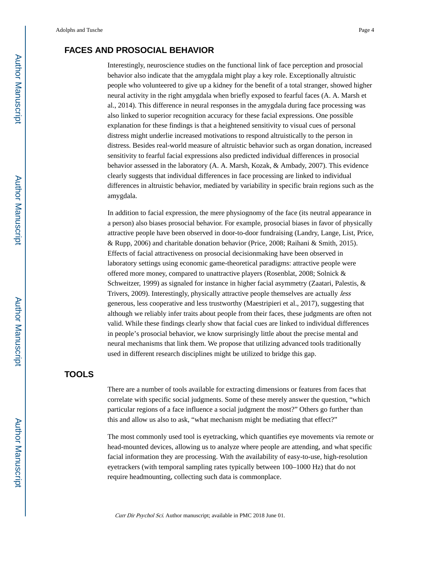## **FACES AND PROSOCIAL BEHAVIOR**

Interestingly, neuroscience studies on the functional link of face perception and prosocial behavior also indicate that the amygdala might play a key role. Exceptionally altruistic people who volunteered to give up a kidney for the benefit of a total stranger, showed higher neural activity in the right amygdala when briefly exposed to fearful faces (A. A. Marsh et al., 2014). This difference in neural responses in the amygdala during face processing was also linked to superior recognition accuracy for these facial expressions. One possible explanation for these findings is that a heightened sensitivity to visual cues of personal distress might underlie increased motivations to respond altruistically to the person in distress. Besides real-world measure of altruistic behavior such as organ donation, increased sensitivity to fearful facial expressions also predicted individual differences in prosocial behavior assessed in the laboratory (A. A. Marsh, Kozak, & Ambady, 2007). This evidence clearly suggests that individual differences in face processing are linked to individual differences in altruistic behavior, mediated by variability in specific brain regions such as the amygdala.

In addition to facial expression, the mere physiognomy of the face (its neutral appearance in a person) also biases prosocial behavior. For example, prosocial biases in favor of physically attractive people have been observed in door-to-door fundraising (Landry, Lange, List, Price, & Rupp, 2006) and charitable donation behavior (Price, 2008; Raihani & Smith, 2015). Effects of facial attractiveness on prosocial decisionmaking have been observed in laboratory settings using economic game-theoretical paradigms: attractive people were offered more money, compared to unattractive players (Rosenblat, 2008; Solnick & Schweitzer, 1999) as signaled for instance in higher facial asymmetry (Zaatari, Palestis, & Trivers, 2009). Interestingly, physically attractive people themselves are actually less generous, less cooperative and less trustworthy (Maestripieri et al., 2017), suggesting that although we reliably infer traits about people from their faces, these judgments are often not valid. While these findings clearly show that facial cues are linked to individual differences in people's prosocial behavior, we know surprisingly little about the precise mental and neural mechanisms that link them. We propose that utilizing advanced tools traditionally used in different research disciplines might be utilized to bridge this gap.

#### **TOOLS**

There are a number of tools available for extracting dimensions or features from faces that correlate with specific social judgments. Some of these merely answer the question, "which particular regions of a face influence a social judgment the most?" Others go further than this and allow us also to ask, "what mechanism might be mediating that effect?"

The most commonly used tool is eyetracking, which quantifies eye movements via remote or head-mounted devices, allowing us to analyze where people are attending, and what specific facial information they are processing. With the availability of easy-to-use, high-resolution eyetrackers (with temporal sampling rates typically between 100–1000 Hz) that do not require headmounting, collecting such data is commonplace.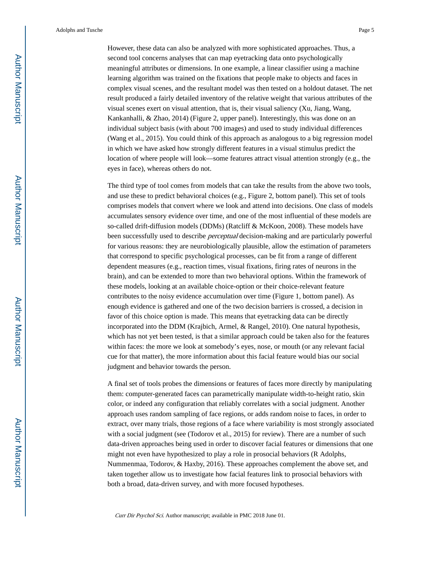However, these data can also be analyzed with more sophisticated approaches. Thus, a second tool concerns analyses that can map eyetracking data onto psychologically meaningful attributes or dimensions. In one example, a linear classifier using a machine learning algorithm was trained on the fixations that people make to objects and faces in complex visual scenes, and the resultant model was then tested on a holdout dataset. The net result produced a fairly detailed inventory of the relative weight that various attributes of the visual scenes exert on visual attention, that is, their visual saliency (Xu, Jiang, Wang, Kankanhalli, & Zhao, 2014) (Figure 2, upper panel). Interestingly, this was done on an individual subject basis (with about 700 images) and used to study individual differences (Wang et al., 2015). You could think of this approach as analogous to a big regression model in which we have asked how strongly different features in a visual stimulus predict the location of where people will look—some features attract visual attention strongly (e.g., the eyes in face), whereas others do not.

The third type of tool comes from models that can take the results from the above two tools, and use these to predict behavioral choices (e.g., Figure 2, bottom panel). This set of tools comprises models that convert where we look and attend into decisions. One class of models accumulates sensory evidence over time, and one of the most influential of these models are so-called drift-diffusion models (DDMs) (Ratcliff & McKoon, 2008). These models have been successfully used to describe perceptual decision-making and are particularly powerful for various reasons: they are neurobiologically plausible, allow the estimation of parameters that correspond to specific psychological processes, can be fit from a range of different dependent measures (e.g., reaction times, visual fixations, firing rates of neurons in the brain), and can be extended to more than two behavioral options. Within the framework of these models, looking at an available choice-option or their choice-relevant feature contributes to the noisy evidence accumulation over time (Figure 1, bottom panel). As enough evidence is gathered and one of the two decision barriers is crossed, a decision in favor of this choice option is made. This means that eyetracking data can be directly incorporated into the DDM (Krajbich, Armel, & Rangel, 2010). One natural hypothesis, which has not yet been tested, is that a similar approach could be taken also for the features within faces: the more we look at somebody's eyes, nose, or mouth (or any relevant facial cue for that matter), the more information about this facial feature would bias our social judgment and behavior towards the person.

A final set of tools probes the dimensions or features of faces more directly by manipulating them: computer-generated faces can parametrically manipulate width-to-height ratio, skin color, or indeed any configuration that reliably correlates with a social judgment. Another approach uses random sampling of face regions, or adds random noise to faces, in order to extract, over many trials, those regions of a face where variability is most strongly associated with a social judgment (see (Todorov et al., 2015) for review). There are a number of such data-driven approaches being used in order to discover facial features or dimensions that one might not even have hypothesized to play a role in prosocial behaviors (R Adolphs, Nummenmaa, Todorov, & Haxby, 2016). These approaches complement the above set, and taken together allow us to investigate how facial features link to prosocial behaviors with both a broad, data-driven survey, and with more focused hypotheses.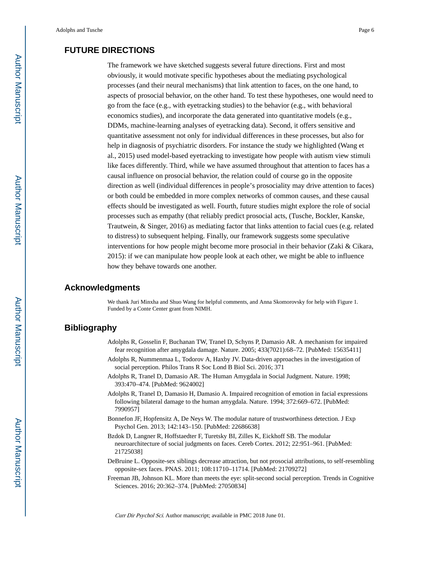## **FUTURE DIRECTIONS**

The framework we have sketched suggests several future directions. First and most obviously, it would motivate specific hypotheses about the mediating psychological processes (and their neural mechanisms) that link attention to faces, on the one hand, to aspects of prosocial behavior, on the other hand. To test these hypotheses, one would need to go from the face (e.g., with eyetracking studies) to the behavior (e.g., with behavioral economics studies), and incorporate the data generated into quantitative models (e.g., DDMs, machine-learning analyses of eyetracking data). Second, it offers sensitive and quantitative assessment not only for individual differences in these processes, but also for help in diagnosis of psychiatric disorders. For instance the study we highlighted (Wang et al., 2015) used model-based eyetracking to investigate how people with autism view stimuli like faces differently. Third, while we have assumed throughout that attention to faces has a causal influence on prosocial behavior, the relation could of course go in the opposite direction as well (individual differences in people's prosociality may drive attention to faces) or both could be embedded in more complex networks of common causes, and these causal effects should be investigated as well. Fourth, future studies might explore the role of social processes such as empathy (that reliably predict prosocial acts, (Tusche, Bockler, Kanske, Trautwein, & Singer, 2016) as mediating factor that links attention to facial cues (e.g. related to distress) to subsequent helping. Finally, our framework suggests some speculative interventions for how people might become more prosocial in their behavior (Zaki & Cikara, 2015): if we can manipulate how people look at each other, we might be able to influence how they behave towards one another.

#### **Acknowledgments**

We thank Juri Minxha and Shuo Wang for helpful comments, and Anna Skomorovsky for help with Figure 1. Funded by a Conte Center grant from NIMH.

## **Bibliography**

- Adolphs R, Gosselin F, Buchanan TW, Tranel D, Schyns P, Damasio AR. A mechanism for impaired fear recognition after amygdala damage. Nature. 2005; 433(7021):68–72. [PubMed: 15635411]
- Adolphs R, Nummenmaa L, Todorov A, Haxby JV. Data-driven approaches in the investigation of social perception. Philos Trans R Soc Lond B Biol Sci. 2016; 371
- Adolphs R, Tranel D, Damasio AR. The Human Amygdala in Social Judgment. Nature. 1998; 393:470–474. [PubMed: 9624002]
- Adolphs R, Tranel D, Damasio H, Damasio A. Impaired recognition of emotion in facial expressions following bilateral damage to the human amygdala. Nature. 1994; 372:669–672. [PubMed: 7990957]
- Bonnefon JF, Hopfensitz A, De Neys W. The modular nature of trustworthiness detection. J Exp Psychol Gen. 2013; 142:143–150. [PubMed: 22686638]
- Bzdok D, Langner R, Hoffstaedter F, Turetsky BI, Zilles K, Eickhoff SB. The modular neuroarchitecture of social judgments on faces. Cereb Cortex. 2012; 22:951–961. [PubMed: 21725038]
- DeBruine L. Opposite-sex siblings decrease attraction, but not prosocial attributions, to self-resembling opposite-sex faces. PNAS. 2011; 108:11710–11714. [PubMed: 21709272]
- Freeman JB, Johnson KL. More than meets the eye: split-second social perception. Trends in Cognitive Sciences. 2016; 20:362–374. [PubMed: 27050834]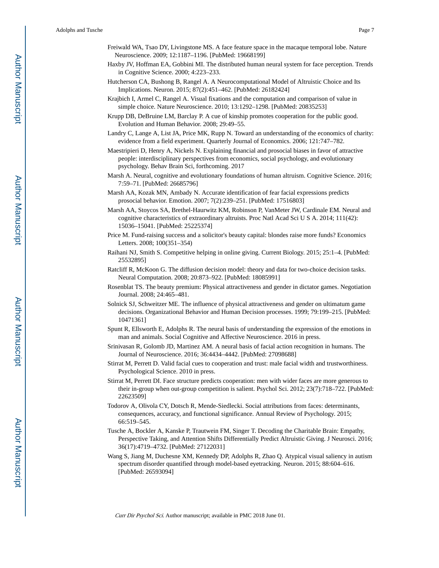- Haxby JV, Hoffman EA, Gobbini MI. The distributed human neural system for face perception. Trends in Cognitive Science. 2000; 4:223–233.
- Hutcherson CA, Bushong B, Rangel A. A Neurocomputational Model of Altruistic Choice and Its Implications. Neuron. 2015; 87(2):451–462. [PubMed: 26182424]
- Krajbich I, Armel C, Rangel A. Visual fixations and the computation and comparison of value in simple choice. Nature Neuroscience. 2010; 13:1292–1298. [PubMed: 20835253]
- Krupp DB, DeBruine LM, Barclay P. A cue of kinship promotes cooperation for the public good. Evolution and Human Behavior. 2008; 29:49–55.
- Landry C, Lange A, List JA, Price MK, Rupp N. Toward an understanding of the economics of charity: evidence from a field experiment. Quarterly Journal of Economics. 2006; 121:747–782.
- Maestripieri D, Henry A, Nickels N. Explaining financial and prosocial biases in favor of attractive people: interdisciplinary perspectives from economics, social psychology, and evolutionary psychology. Behav Brain Sci, forthcoming. 2017
- Marsh A. Neural, cognitive and evolutionary foundations of human altruism. Cognitive Science. 2016; 7:59–71. [PubMed: 26685796]
- Marsh AA, Kozak MN, Ambady N. Accurate identification of fear facial expressions predicts prosocial behavior. Emotion. 2007; 7(2):239–251. [PubMed: 17516803]
- Marsh AA, Stoycos SA, Brethel-Haurwitz KM, Robinson P, VanMeter JW, Cardinale EM. Neural and cognitive characteristics of extraordinary altruists. Proc Natl Acad Sci U S A. 2014; 111(42): 15036–15041. [PubMed: 25225374]
- Price M. Fund-raising success and a solicitor's beauty capital: blondes raise more funds? Economics Letters. 2008; 100(351–354)
- Raihani NJ, Smith S. Competitive helping in online giving. Current Biology. 2015; 25:1–4. [PubMed: 25532895]
- Ratcliff R, McKoon G. The diffusion decision model: theory and data for two-choice decision tasks. Neural Computation. 2008; 20:873–922. [PubMed: 18085991]
- Rosenblat TS. The beauty premium: Physical attractiveness and gender in dictator games. Negotiation Journal. 2008; 24:465–481.
- Solnick SJ, Schweitzer ME. The influence of physical attractiveness and gender on ultimatum game decisions. Organizational Behavior and Human Decision processes. 1999; 79:199–215. [PubMed: 10471361]
- Spunt R, Ellsworth E, Adolphs R. The neural basis of understanding the expression of the emotions in man and animals. Social Cognitive and Affective Neuroscience. 2016 in press.
- Srinivasan R, Golomb JD, Martinez AM. A neural basis of facial action recognition in humans. The Journal of Neuroscience. 2016; 36:4434–4442. [PubMed: 27098688]
- Stirrat M, Perrett D. Valid facial cues to cooperation and trust: male facial width and trustworthiness. Psychological Science. 2010 in press.
- Stirrat M, Perrett DI. Face structure predicts cooperation: men with wider faces are more generous to their in-group when out-group competition is salient. Psychol Sci. 2012; 23(7):718–722. [PubMed: 22623509]
- Todorov A, Olivola CY, Dotsch R, Mende-Siedlecki. Social attributions from faces: determinants, consequences, accuracy, and functional significance. Annual Review of Psychology. 2015; 66:519–545.
- Tusche A, Bockler A, Kanske P, Trautwein FM, Singer T. Decoding the Charitable Brain: Empathy, Perspective Taking, and Attention Shifts Differentially Predict Altruistic Giving. J Neurosci. 2016; 36(17):4719–4732. [PubMed: 27122031]
- Wang S, Jiang M, Duchesne XM, Kennedy DP, Adolphs R, Zhao Q. Atypical visual saliency in autism spectrum disorder quantified through model-based eyetracking. Neuron. 2015; 88:604–616. [PubMed: 26593094]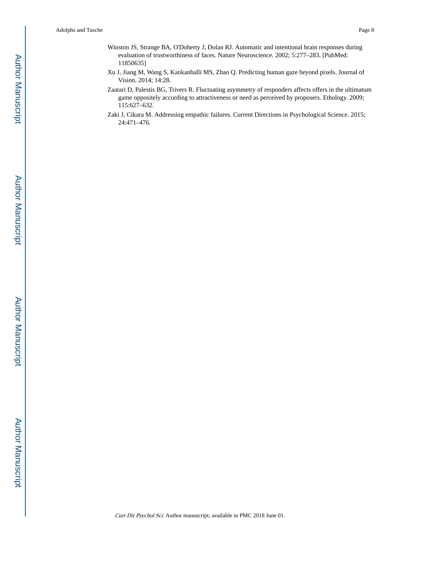- Winston JS, Strange BA, O'Doherty J, Dolan RJ. Automatic and intentional brain responses during evaluation of trustworthiness of faces. Nature Neuroscience. 2002; 5:277–283. [PubMed: 11850635]
- Xu J, Jiang M, Wang S, Kankanhalli MS, Zhao Q. Predicting human gaze beyond pixels. Journal of Vision. 2014; 14:28.
- Zaatari D, Palestis BG, Trivers R. Fluctuating asymmetry of responders affects offers in the ultimatum game oppositely according to attractiveness or need as perceived by proposers. Ethology. 2009; 115:627–632.
- Zaki J, Cikara M. Addressing empathic failures. Current Directions in Psychological Science. 2015; 24:471–476.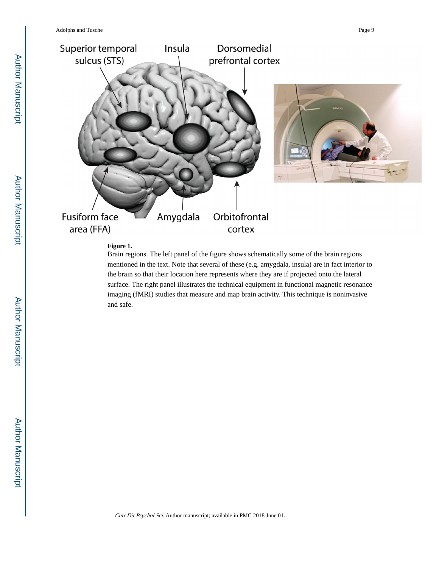

#### **Figure 1.**

Brain regions. The left panel of the figure shows schematically some of the brain regions mentioned in the text. Note that several of these (e.g. amygdala, insula) are in fact interior to the brain so that their location here represents where they are if projected onto the lateral surface. The right panel illustrates the technical equipment in functional magnetic resonance imaging (fMRI) studies that measure and map brain activity. This technique is noninvasive and safe.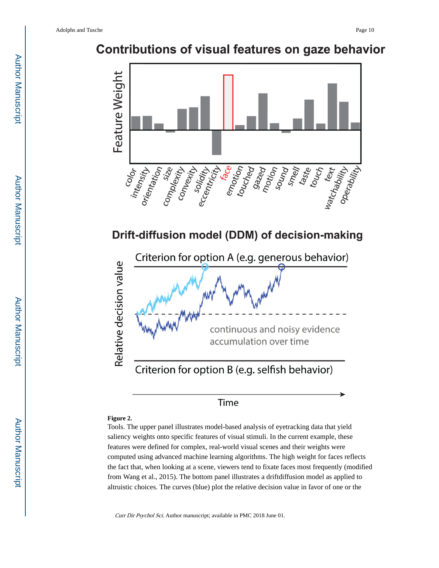## **Contributions of visual features on gaze behavior**



## Drift-diffusion model (DDM) of decision-making



## Time

#### **Figure 2.**

Tools. The upper panel illustrates model-based analysis of eyetracking data that yield saliency weights onto specific features of visual stimuli. In the current example, these features were defined for complex, real-world visual scenes and their weights were computed using advanced machine learning algorithms. The high weight for faces reflects the fact that, when looking at a scene, viewers tend to fixate faces most frequently (modified from Wang et al., 2015). The bottom panel illustrates a driftdiffusion model as applied to altruistic choices. The curves (blue) plot the relative decision value in favor of one or the